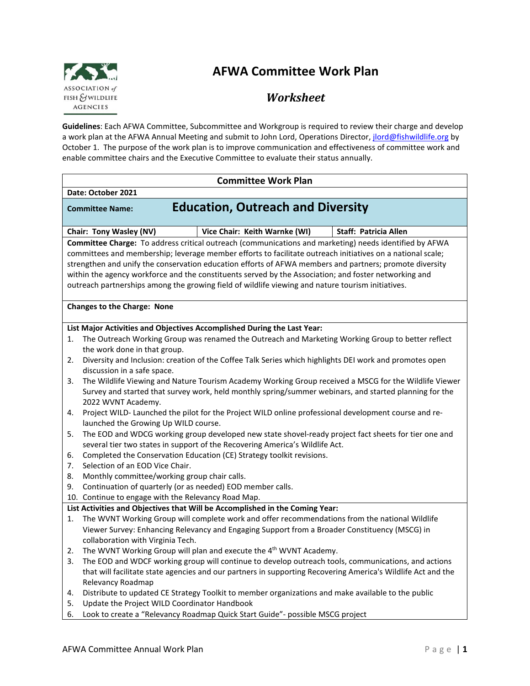

# **AFWA Committee Work Plan**

## *Worksheet*

**Guidelines**: Each AFWA Committee, Subcommittee and Workgroup is required to review their charge and develop a work plan at the AFWA Annual Meeting and submit to John Lord, Operations Director, *jlord@fishwildlife.org* by October 1. The purpose of the work plan is to improve communication and effectiveness of committee work and enable committee chairs and the Executive Committee to evaluate their status annually.

| <b>Committee Work Plan</b> |                                                                                                                                                                                                                  |  |  |
|----------------------------|------------------------------------------------------------------------------------------------------------------------------------------------------------------------------------------------------------------|--|--|
| Date: October 2021         |                                                                                                                                                                                                                  |  |  |
|                            | <b>Education, Outreach and Diversity</b><br><b>Committee Name:</b>                                                                                                                                               |  |  |
|                            | Vice Chair: Keith Warnke (WI)<br><b>Staff: Patricia Allen</b><br>Chair: Tony Wasley (NV)                                                                                                                         |  |  |
|                            | Committee Charge: To address critical outreach (communications and marketing) needs identified by AFWA                                                                                                           |  |  |
|                            | committees and membership; leverage member efforts to facilitate outreach initiatives on a national scale;                                                                                                       |  |  |
|                            | strengthen and unify the conservation education efforts of AFWA members and partners; promote diversity<br>within the agency workforce and the constituents served by the Association; and foster networking and |  |  |
|                            | outreach partnerships among the growing field of wildlife viewing and nature tourism initiatives.                                                                                                                |  |  |
|                            |                                                                                                                                                                                                                  |  |  |
|                            | <b>Changes to the Charge: None</b>                                                                                                                                                                               |  |  |
|                            |                                                                                                                                                                                                                  |  |  |
|                            | List Major Activities and Objectives Accomplished During the Last Year:                                                                                                                                          |  |  |
| 1.                         | The Outreach Working Group was renamed the Outreach and Marketing Working Group to better reflect                                                                                                                |  |  |
|                            | the work done in that group.                                                                                                                                                                                     |  |  |
| 2.                         | Diversity and Inclusion: creation of the Coffee Talk Series which highlights DEI work and promotes open                                                                                                          |  |  |
|                            | discussion in a safe space.                                                                                                                                                                                      |  |  |
| 3.                         | The Wildlife Viewing and Nature Tourism Academy Working Group received a MSCG for the Wildlife Viewer<br>Survey and started that survey work, held monthly spring/summer webinars, and started planning for the  |  |  |
|                            | 2022 WVNT Academy.                                                                                                                                                                                               |  |  |
| 4.                         | Project WILD- Launched the pilot for the Project WILD online professional development course and re-                                                                                                             |  |  |
|                            | launched the Growing Up WILD course.                                                                                                                                                                             |  |  |
| 5.                         | The EOD and WDCG working group developed new state shovel-ready project fact sheets for tier one and                                                                                                             |  |  |
|                            | several tier two states in support of the Recovering America's Wildlife Act.                                                                                                                                     |  |  |
| 6.                         | Completed the Conservation Education (CE) Strategy toolkit revisions.                                                                                                                                            |  |  |
| 7.                         | Selection of an EOD Vice Chair.                                                                                                                                                                                  |  |  |
| 8.                         | Monthly committee/working group chair calls.                                                                                                                                                                     |  |  |
| 9.                         | Continuation of quarterly (or as needed) EOD member calls.                                                                                                                                                       |  |  |
|                            | 10. Continue to engage with the Relevancy Road Map.                                                                                                                                                              |  |  |
| 1.                         | List Activities and Objectives that Will be Accomplished in the Coming Year:<br>The WVNT Working Group will complete work and offer recommendations from the national Wildlife                                   |  |  |
|                            | Viewer Survey: Enhancing Relevancy and Engaging Support from a Broader Constituency (MSCG) in                                                                                                                    |  |  |
|                            | collaboration with Virginia Tech.                                                                                                                                                                                |  |  |
| 2.                         | The WVNT Working Group will plan and execute the 4 <sup>th</sup> WVNT Academy.                                                                                                                                   |  |  |
| 3.                         | The EOD and WDCF working group will continue to develop outreach tools, communications, and actions                                                                                                              |  |  |
|                            | that will facilitate state agencies and our partners in supporting Recovering America's Wildlife Act and the                                                                                                     |  |  |
|                            | Relevancy Roadmap                                                                                                                                                                                                |  |  |
| 4.                         | Distribute to updated CE Strategy Toolkit to member organizations and make available to the public                                                                                                               |  |  |
| 5.                         | Update the Project WILD Coordinator Handbook                                                                                                                                                                     |  |  |
|                            |                                                                                                                                                                                                                  |  |  |
| 6.                         | Look to create a "Relevancy Roadmap Quick Start Guide"- possible MSCG project                                                                                                                                    |  |  |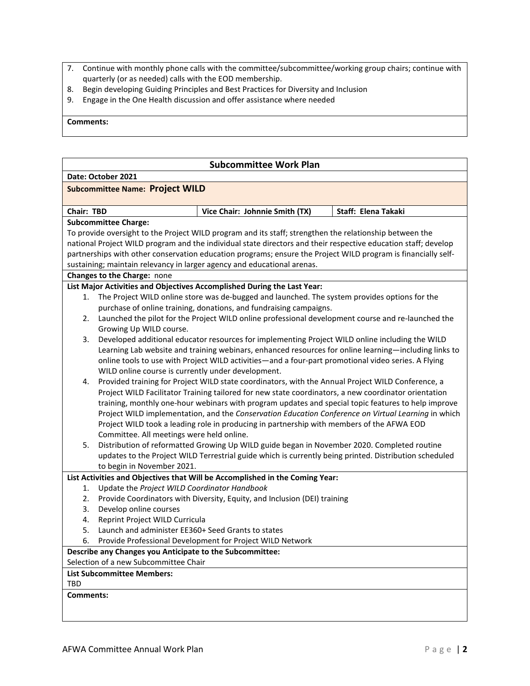- 7. Continue with monthly phone calls with the committee/subcommittee/working group chairs; continue with quarterly (or as needed) calls with the EOD membership.
- 8. Begin developing Guiding Principles and Best Practices for Diversity and Inclusion
- 9. Engage in the One Health discussion and offer assistance where needed

#### **Comments:**

## **Subcommittee Work Plan**

| Date: October 2021 |  |
|--------------------|--|
|                    |  |

### **Subcommittee Name: Project WILD**

| <b>Chair: TBD</b>                                                                                       | Vice Chair: Johnnie Smith (TX) | Staff: Elena Takaki |  |  |
|---------------------------------------------------------------------------------------------------------|--------------------------------|---------------------|--|--|
| <b>Subcommittee Charge:</b>                                                                             |                                |                     |  |  |
| To provide oversight to the Project WILD program and its staff; strengthen the relationship between the |                                |                     |  |  |
|                                                                                                         |                                |                     |  |  |

national Project WILD program and the individual state directors and their respective education staff; develop partnerships with other conservation education programs; ensure the Project WILD program is financially selfsustaining; maintain relevancy in larger agency and educational arenas.

#### **Changes to the Charge:** none

## **List Major Activities and Objectives Accomplished During the Last Year:**

- 1. The Project WILD online store was de-bugged and launched. The system provides options for the purchase of online training, donations, and fundraising campaigns.
- 2. Launched the pilot for the Project WILD online professional development course and re-launched the Growing Up WILD course.
- 3. Developed additional educator resources for implementing Project WILD online including the WILD Learning Lab website and training webinars, enhanced resources for online learning—including links to online tools to use with Project WILD activities—and a four-part promotional video series. A Flying WILD online course is currently under development.
- 4. Provided training for Project WILD state coordinators, with the Annual Project WILD Conference, a Project WILD Facilitator Training tailored for new state coordinators, a new coordinator orientation training, monthly one-hour webinars with program updates and special topic features to help improve Project WILD implementation, and the *Conservation Education Conference on Virtual Learning* in which Project WILD took a leading role in producing in partnership with members of the AFWA EOD Committee. All meetings were held online.
- 5. Distribution of reformatted Growing Up WILD guide began in November 2020. Completed routine updates to the Project WILD Terrestrial guide which is currently being printed. Distribution scheduled to begin in November 2021.

## **List Activities and Objectives that Will be Accomplished in the Coming Year:**

- 1. Update the *Project WILD Coordinator Handbook*
- 2. Provide Coordinators with Diversity, Equity, and Inclusion (DEI) training
- 3. Develop online courses
- 4. Reprint Project WILD Curricula
- 5. Launch and administer EE360+ Seed Grants to states
- 6. Provide Professional Development for Project WILD Network

## **Describe any Changes you Anticipate to the Subcommittee:**

Selection of a new Subcommittee Chair

## **List Subcommittee Members:**

TBD

## **Comments:**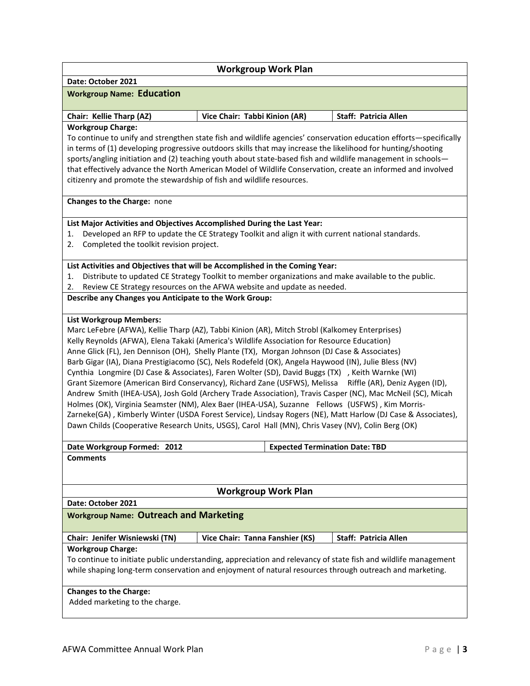| Date: October 2021 |  |
|--------------------|--|
|                    |  |

## **Workgroup Work Plan**

#### **Workgroup Name: Education**

| <b>Chair: Kellie Tharp (AZ)</b> | Vice Chair: Tabbi Kinion (AR) | Staff: Patricia Allen |
|---------------------------------|-------------------------------|-----------------------|

#### **Workgroup Charge:**

To continue to unify and strengthen state fish and wildlife agencies' conservation education efforts—specifically in terms of (1) developing progressive outdoors skills that may increase the likelihood for hunting/shooting sports/angling initiation and (2) teaching youth about state-based fish and wildlife management in schools that effectively advance the North American Model of Wildlife Conservation, create an informed and involved citizenry and promote the stewardship of fish and wildlife resources.

**Changes to the Charge:** none

## **List Major Activities and Objectives Accomplished During the Last Year:**

- 1. Developed an RFP to update the CE Strategy Toolkit and align it with current national standards.
- 2. Completed the toolkit revision project.

#### **List Activities and Objectives that will be Accomplished in the Coming Year:**

- 1. Distribute to updated CE Strategy Toolkit to member organizations and make available to the public.
- 2. Review CE Strategy resources on the AFWA website and update as needed.

**Describe any Changes you Anticipate to the Work Group:** 

#### **List Workgroup Members:**

Marc LeFebre (AFWA), Kellie Tharp (AZ), Tabbi Kinion (AR), Mitch Strobl (Kalkomey Enterprises) Kelly Reynolds (AFWA), Elena Takaki (America's Wildlife Association for Resource Education) Anne Glick (FL), Jen Dennison (OH), Shelly Plante (TX), Morgan Johnson (DJ Case & Associates) Barb Gigar (IA), Diana Prestigiacomo (SC), Nels Rodefeld (OK), Angela Haywood (IN), Julie Bless (NV) Cynthia Longmire (DJ Case & Associates), Faren Wolter (SD), David Buggs (TX) , Keith Warnke (WI) Grant Sizemore (American Bird Conservancy), Richard Zane (USFWS), Melissa Riffle (AR), Deniz Aygen (ID), Andrew Smith (IHEA-USA), Josh Gold (Archery Trade Association), Travis Casper (NC), Mac McNeil (SC), Micah Holmes (OK), Virginia Seamster (NM), Alex Baer (IHEA-USA), Suzanne Fellows (USFWS) , Kim Morris-Zarneke(GA) , Kimberly Winter (USDA Forest Service), Lindsay Rogers (NE), Matt Harlow (DJ Case & Associates), Dawn Childs (Cooperative Research Units, USGS), Carol Hall (MN), Chris Vasey (NV), Colin Berg (OK)

| Date Workgroup Formed: 2012 | <b>Expected Termination Date: TBD</b> |
|-----------------------------|---------------------------------------|
| Commonte                    |                                       |

#### **Comments**

## **Workgroup Work Plan**

**Date: October 2021**

## **Workgroup Name: Outreach and Marketing**

| Chair: Jenifer Wisniewski (TN) | Vice Chair: Tanna Fanshier (KS) | Staff: Patricia Allen |
|--------------------------------|---------------------------------|-----------------------|
|                                |                                 |                       |

#### **Workgroup Charge:**

To continue to initiate public understanding, appreciation and relevancy of state fish and wildlife management while shaping long-term conservation and enjoyment of natural resources through outreach and marketing.

#### **Changes to the Charge:**

Added marketing to the charge.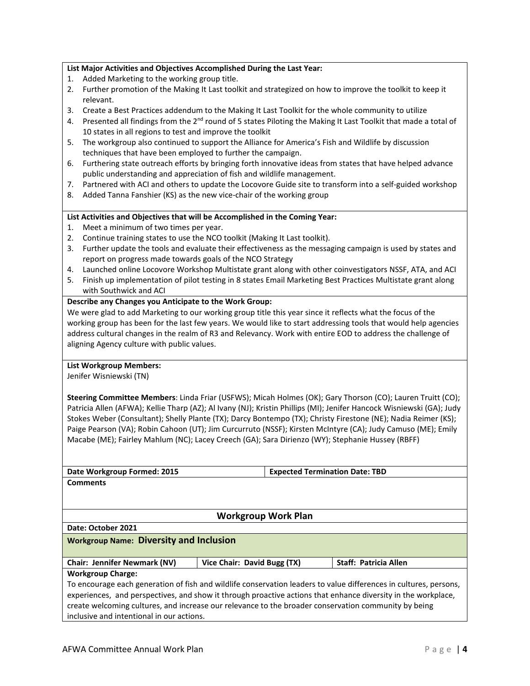## **List Major Activities and Objectives Accomplished During the Last Year:**

- 1. Added Marketing to the working group title.
- 2. Further promotion of the Making It Last toolkit and strategized on how to improve the toolkit to keep it relevant.
- 3. Create a Best Practices addendum to the Making It Last Toolkit for the whole community to utilize
- 4. Presented all findings from the  $2<sup>nd</sup>$  round of 5 states Piloting the Making It Last Toolkit that made a total of 10 states in all regions to test and improve the toolkit
- 5. The workgroup also continued to support the Alliance for America's Fish and Wildlife by discussion techniques that have been employed to further the campaign.
- 6. Furthering state outreach efforts by bringing forth innovative ideas from states that have helped advance public understanding and appreciation of fish and wildlife management.
- 7. Partnered with ACI and others to update the Locovore Guide site to transform into a self-guided workshop
- 8. Added Tanna Fanshier (KS) as the new vice-chair of the working group

#### **List Activities and Objectives that will be Accomplished in the Coming Year:**

- 1. Meet a minimum of two times per year.
- 2. Continue training states to use the NCO toolkit (Making It Last toolkit).
- 3. Further update the tools and evaluate their effectiveness as the messaging campaign is used by states and report on progress made towards goals of the NCO Strategy
- 4. Launched online Locovore Workshop Multistate grant along with other coinvestigators NSSF, ATA, and ACI
- 5. Finish up implementation of pilot testing in 8 states Email Marketing Best Practices Multistate grant along with Southwick and ACI

#### **Describe any Changes you Anticipate to the Work Group:**

We were glad to add Marketing to our working group title this year since it reflects what the focus of the working group has been for the last few years. We would like to start addressing tools that would help agencies address cultural changes in the realm of R3 and Relevancy. Work with entire EOD to address the challenge of aligning Agency culture with public values.

#### **List Workgroup Members:**

Jenifer Wisniewski (TN)

**Steering Committee Members**: Linda Friar (USFWS); Micah Holmes (OK); Gary Thorson (CO); Lauren Truitt (CO); Patricia Allen (AFWA); Kellie Tharp (AZ); Al Ivany (NJ); Kristin Phillips (MI); Jenifer Hancock Wisniewski (GA); Judy Stokes Weber (Consultant); Shelly Plante (TX); Darcy Bontempo (TX); Christy Firestone (NE); Nadia Reimer (KS); Paige Pearson (VA); Robin Cahoon (UT); Jim Curcurruto (NSSF); Kirsten McIntyre (CA); Judy Camuso (ME); Emily Macabe (ME); Fairley Mahlum (NC); Lacey Creech (GA); Sara Dirienzo (WY); Stephanie Hussey (RBFF)

| Date Workgroup Formed: 2015                                                                                       |                                                | <b>Expected Termination Date: TBD</b> |                              |  |
|-------------------------------------------------------------------------------------------------------------------|------------------------------------------------|---------------------------------------|------------------------------|--|
| <b>Comments</b>                                                                                                   |                                                |                                       |                              |  |
|                                                                                                                   |                                                |                                       |                              |  |
|                                                                                                                   |                                                |                                       |                              |  |
|                                                                                                                   | <b>Workgroup Work Plan</b>                     |                                       |                              |  |
| Date: October 2021                                                                                                |                                                |                                       |                              |  |
|                                                                                                                   | <b>Workgroup Name: Diversity and Inclusion</b> |                                       |                              |  |
|                                                                                                                   |                                                |                                       |                              |  |
| <b>Chair: Jennifer Newmark (NV)</b>                                                                               | Vice Chair: David Bugg (TX)                    |                                       | <b>Staff: Patricia Allen</b> |  |
| <b>Workgroup Charge:</b>                                                                                          |                                                |                                       |                              |  |
| To encourage each generation of fish and wildlife conservation leaders to value differences in cultures, persons, |                                                |                                       |                              |  |
| experiences, and perspectives, and show it through proactive actions that enhance diversity in the workplace,     |                                                |                                       |                              |  |
| create welcoming cultures, and increase our relevance to the broader conservation community by being              |                                                |                                       |                              |  |
|                                                                                                                   |                                                |                                       |                              |  |

inclusive and intentional in our actions.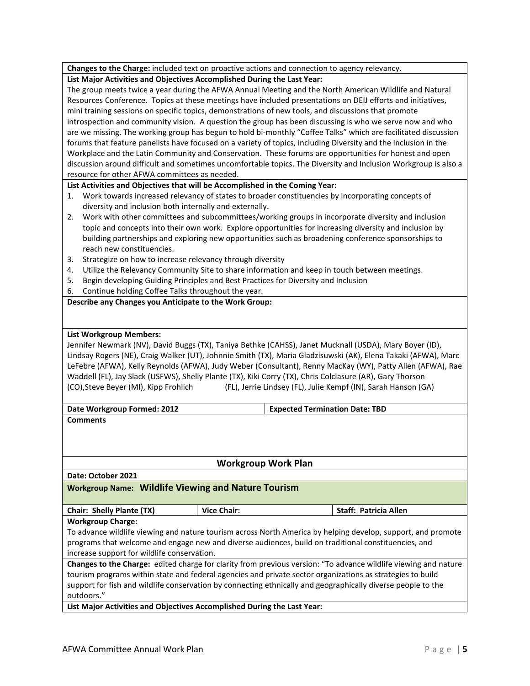|  |  | Changes to the Charge: included text on proactive actions and connection to agency relevancy. |
|--|--|-----------------------------------------------------------------------------------------------|
|--|--|-----------------------------------------------------------------------------------------------|

#### **List Major Activities and Objectives Accomplished During the Last Year:**

The group meets twice a year during the AFWA Annual Meeting and the North American Wildlife and Natural Resources Conference. Topics at these meetings have included presentations on DEIJ efforts and initiatives, mini training sessions on specific topics, demonstrations of new tools, and discussions that promote introspection and community vision. A question the group has been discussing is who we serve now and who are we missing. The working group has begun to hold bi-monthly "Coffee Talks" which are facilitated discussion forums that feature panelists have focused on a variety of topics, including Diversity and the Inclusion in the Workplace and the Latin Community and Conservation. These forums are opportunities for honest and open discussion around difficult and sometimes uncomfortable topics. The Diversity and Inclusion Workgroup is also a resource for other AFWA committees as needed.

## **List Activities and Objectives that will be Accomplished in the Coming Year:**

- 1. Work towards increased relevancy of states to broader constituencies by incorporating concepts of diversity and inclusion both internally and externally.
- 2. Work with other committees and subcommittees/working groups in incorporate diversity and inclusion topic and concepts into their own work. Explore opportunities for increasing diversity and inclusion by building partnerships and exploring new opportunities such as broadening conference sponsorships to reach new constituencies.
- 3. Strategize on how to increase relevancy through diversity
- 4. Utilize the Relevancy Community Site to share information and keep in touch between meetings.
- 5. Begin developing Guiding Principles and Best Practices for Diversity and Inclusion
- 6. Continue holding Coffee Talks throughout the year.

## **Describe any Changes you Anticipate to the Work Group:**

### **List Workgroup Members:**

Jennifer Newmark (NV), David Buggs (TX), Taniya Bethke (CAHSS), Janet Mucknall (USDA), Mary Boyer (ID), Lindsay Rogers (NE), Craig Walker (UT), Johnnie Smith (TX), Maria Gladzisuwski (AK), Elena Takaki (AFWA), Marc LeFebre (AFWA), Kelly Reynolds (AFWA), Judy Weber (Consultant), Renny MacKay (WY), Patty Allen (AFWA), Rae Waddell (FL), Jay Slack (USFWS), Shelly Plante (TX), Kiki Corry (TX), Chris Colclasure (AR), Gary Thorson (CO),Steve Beyer (MI), Kipp Frohlich (FL), Jerrie Lindsey (FL), Julie Kempf (IN), Sarah Hanson (GA)

| Date Workgroup Formed: 2012                                                                                            |                            | <b>Expected Termination Date: TBD</b>                                                                        |  |
|------------------------------------------------------------------------------------------------------------------------|----------------------------|--------------------------------------------------------------------------------------------------------------|--|
| <b>Comments</b>                                                                                                        |                            |                                                                                                              |  |
|                                                                                                                        |                            |                                                                                                              |  |
|                                                                                                                        |                            |                                                                                                              |  |
|                                                                                                                        |                            |                                                                                                              |  |
|                                                                                                                        | <b>Workgroup Work Plan</b> |                                                                                                              |  |
| Date: October 2021                                                                                                     |                            |                                                                                                              |  |
| <b>Workgroup Name: Wildlife Viewing and Nature Tourism</b>                                                             |                            |                                                                                                              |  |
|                                                                                                                        |                            |                                                                                                              |  |
| Chair: Shelly Plante (TX)                                                                                              | <b>Vice Chair:</b>         | <b>Staff: Patricia Allen</b>                                                                                 |  |
| <b>Workgroup Charge:</b>                                                                                               |                            |                                                                                                              |  |
|                                                                                                                        |                            | To advance wildlife viewing and nature tourism across North America by helping develop, support, and promote |  |
| programs that welcome and engage new and diverse audiences, build on traditional constituencies, and                   |                            |                                                                                                              |  |
| increase support for wildlife conservation.                                                                            |                            |                                                                                                              |  |
| <b>Changes to the Charge:</b> edited charge for clarity from previous version: "To advance wildlife viewing and nature |                            |                                                                                                              |  |
| tourism programs within state and federal agencies and private sector organizations as strategies to build             |                            |                                                                                                              |  |
|                                                                                                                        |                            | support for fish and wildlife conservation by connecting ethnically and geographically diverse people to the |  |
| outdoors."                                                                                                             |                            |                                                                                                              |  |

**List Major Activities and Objectives Accomplished During the Last Year:**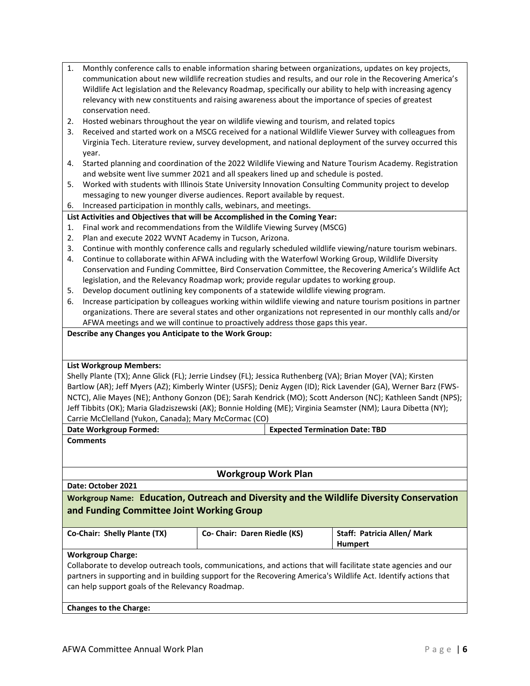| $1_{-}$ | Monthly conference calls to enable information sharing between organizations, updates on key projects,      |
|---------|-------------------------------------------------------------------------------------------------------------|
|         | communication about new wildlife recreation studies and results, and our role in the Recovering America's   |
|         | Wildlife Act legislation and the Relevancy Roadmap, specifically our ability to help with increasing agency |
|         | relevancy with new constituents and raising awareness about the importance of species of greatest           |
|         | conservation need.                                                                                          |

- 2. Hosted webinars throughout the year on wildlife viewing and tourism, and related topics
- 3. Received and started work on a MSCG received for a national Wildlife Viewer Survey with colleagues from Virginia Tech. Literature review, survey development, and national deployment of the survey occurred this year.
- 4. Started planning and coordination of the 2022 Wildlife Viewing and Nature Tourism Academy. Registration and website went live summer 2021 and all speakers lined up and schedule is posted.
- 5. Worked with students with Illinois State University Innovation Consulting Community project to develop messaging to new younger diverse audiences. Report available by request.
- 6. Increased participation in monthly calls, webinars, and meetings.

## **List Activities and Objectives that will be Accomplished in the Coming Year:**

- 1. Final work and recommendations from the Wildlife Viewing Survey (MSCG)
- 2. Plan and execute 2022 WVNT Academy in Tucson, Arizona.
- 3. Continue with monthly conference calls and regularly scheduled wildlife viewing/nature tourism webinars.
- 4. Continue to collaborate within AFWA including with the Waterfowl Working Group, Wildlife Diversity Conservation and Funding Committee, Bird Conservation Committee, the Recovering America's Wildlife Act legislation, and the Relevancy Roadmap work; provide regular updates to working group.
- 5. Develop document outlining key components of a statewide wildlife viewing program.
- 6. Increase participation by colleagues working within wildlife viewing and nature tourism positions in partner organizations. There are several states and other organizations not represented in our monthly calls and/or AFWA meetings and we will continue to proactively address those gaps this year.

## **Describe any Changes you Anticipate to the Work Group:**

## **List Workgroup Members:**

Shelly Plante (TX); Anne Glick (FL); Jerrie Lindsey (FL); Jessica Ruthenberg (VA); Brian Moyer (VA); Kirsten Bartlow (AR); Jeff Myers (AZ); Kimberly Winter (USFS); Deniz Aygen (ID); Rick Lavender (GA), Werner Barz (FWS-NCTC), Alie Mayes (NE); Anthony Gonzon (DE); Sarah Kendrick (MO); Scott Anderson (NC); Kathleen Sandt (NPS); Jeff Tibbits (OK); Maria Gladziszewski (AK); Bonnie Holding (ME); Virginia Seamster (NM); Laura Dibetta (NY); Carrie McClelland (Yukon, Canada); Mary McCormac (CO)

| Date Workgroup Formed: | <b>Expected Termination Date: TBD</b> |
|------------------------|---------------------------------------|
|                        |                                       |

**Comments**

## **Workgroup Work Plan**

**Date: October 2021**

**Workgroup Name: Education, Outreach and Diversity and the Wildlife Diversity Conservation and Funding Committee Joint Working Group**

|  | Co-Chair: Shelly Plante (TX) |  |
|--|------------------------------|--|
|--|------------------------------|--|

| Co- Chair: Daren Riedle (KS) | Staff: Patricia Allen/Mark |
|------------------------------|----------------------------|
|                              | Humpert                    |

**Workgroup Charge:** 

Collaborate to develop outreach tools, communications, and actions that will facilitate state agencies and our partners in supporting and in building support for the Recovering America's Wildlife Act. Identify actions that can help support goals of the Relevancy Roadmap.

**Changes to the Charge:**